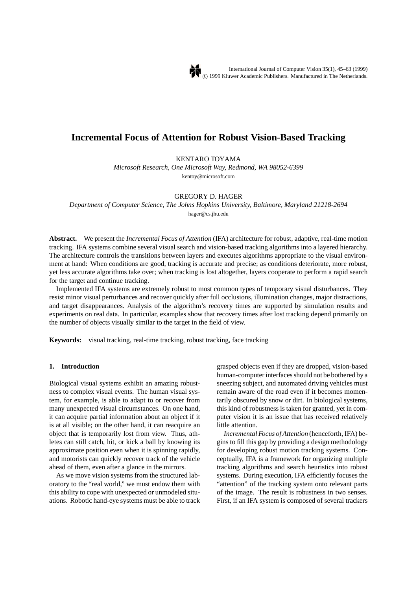## **Incremental Focus of Attention for Robust Vision-Based Tracking**

KENTARO TOYAMA

*Microsoft Research, One Microsoft Way, Redmond, WA 98052-6399* kentoy@microsoft.com

GREGORY D. HAGER

*Department of Computer Science, The Johns Hopkins University, Baltimore, Maryland 21218-2694* hager@cs.jhu.edu

**Abstract.** We present the *Incremental Focus of Attention* (IFA) architecture for robust, adaptive, real-time motion tracking. IFA systems combine several visual search and vision-based tracking algorithms into a layered hierarchy. The architecture controls the transitions between layers and executes algorithms appropriate to the visual environment at hand: When conditions are good, tracking is accurate and precise; as conditions deteriorate, more robust, yet less accurate algorithms take over; when tracking is lost altogether, layers cooperate to perform a rapid search for the target and continue tracking.

Implemented IFA systems are extremely robust to most common types of temporary visual disturbances. They resist minor visual perturbances and recover quickly after full occlusions, illumination changes, major distractions, and target disappearances. Analysis of the algorithm's recovery times are supported by simulation results and experiments on real data. In particular, examples show that recovery times after lost tracking depend primarily on the number of objects visually similar to the target in the field of view.

**Keywords:** visual tracking, real-time tracking, robust tracking, face tracking

## **1. Introduction**

Biological visual systems exhibit an amazing robustness to complex visual events. The human visual system, for example, is able to adapt to or recover from many unexpected visual circumstances. On one hand, it can acquire partial information about an object if it is at all visible; on the other hand, it can reacquire an object that is temporarily lost from view. Thus, athletes can still catch, hit, or kick a ball by knowing its approximate position even when it is spinning rapidly, and motorists can quickly recover track of the vehicle ahead of them, even after a glance in the mirrors.

As we move vision systems from the structured laboratory to the "real world," we must endow them with this ability to cope with unexpected or unmodeled situations. Robotic hand-eye systems must be able to track

grasped objects even if they are dropped, vision-based human-computer interfaces should not be bothered by a sneezing subject, and automated driving vehicles must remain aware of the road even if it becomes momentarily obscured by snow or dirt. In biological systems, this kind of robustness is taken for granted, yet in computer vision it is an issue that has received relatively little attention.

*Incremental Focus of Attention* (henceforth, IFA) begins to fill this gap by providing a design methodology for developing robust motion tracking systems. Conceptually, IFA is a framework for organizing multiple tracking algorithms and search heuristics into robust systems. During execution, IFA efficiently focuses the "attention" of the tracking system onto relevant parts of the image. The result is robustness in two senses. First, if an IFA system is composed of several trackers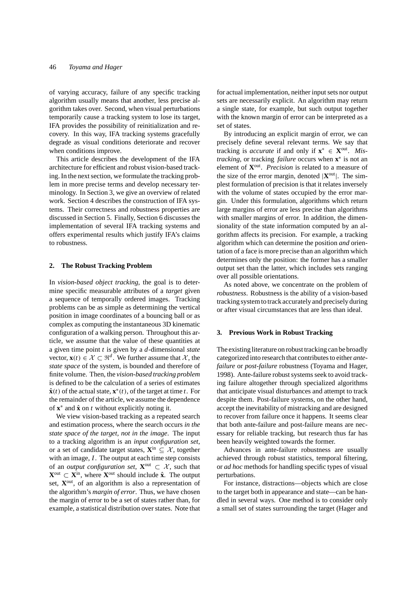of varying accuracy, failure of any specific tracking algorithm usually means that another, less precise algorithm takes over. Second, when visual perturbations temporarily cause a tracking system to lose its target, IFA provides the possibility of reinitialization and recovery. In this way, IFA tracking systems gracefully degrade as visual conditions deteriorate and recover when conditions improve.

This article describes the development of the IFA architecture for efficient and robust vision-based tracking. In the next section, we formulate the tracking problem in more precise terms and develop necessary terminology. In Section 3, we give an overview of related work. Section 4 describes the construction of IFA systems. Their correctness and robustness properties are discussed in Section 5. Finally, Section 6 discusses the implementation of several IFA tracking systems and offers experimental results which justify IFA's claims to robustness.

## **2. The Robust Tracking Problem**

In *vision-based object tracking*, the goal is to determine specific measurable attributes of a *target* given a sequence of temporally ordered images. Tracking problems can be as simple as determining the vertical position in image coordinates of a bouncing ball or as complex as computing the instantaneous 3D kinematic configuration of a walking person. Throughout this article, we assume that the value of these quantities at a given time point *t* is given by a *d*-dimensional *state* vector,  $\mathbf{x}(t) \in \mathcal{X} \subset \mathbb{R}^d$ . We further assume that X, the *state space* of the system, is bounded and therefore of finite volume. Then, the *vision-based tracking problem* is defined to be the calculation of a series of estimates  $\hat{\mathbf{x}}(t)$  of the actual state,  $\mathbf{x}^*(t)$ , of the target at time *t*. For the remainder of the article, we assume the dependence of **x**<sup>∗</sup> and **x**ˆ on *t* without explicitly noting it.

We view vision-based tracking as a repeated search and estimation process, where the search occurs *in the state space of the target, not in the image*. The input to a tracking algorithm is an *input configuration set*, or a set of candidate target states,  $X^{in} \subset \mathcal{X}$ , together with an image, *I*. The output at each time step consists of an *output configuration set*,  $X<sup>out</sup> \subset \mathcal{X}$ , such that  $X<sup>out</sup> \subset \mathbf{X}$ <sup>in</sup>, where  $X<sup>out</sup>$  should include  $\hat{\mathbf{x}}$ . The output set, **X**out, of an algorithm is also a representation of the algorithm's *margin of error*. Thus, we have chosen the margin of error to be a set of states rather than, for example, a statistical distribution over states. Note that

for actual implementation, neither input sets nor output sets are necessarily explicit. An algorithm may return a single state, for example, but such output together with the known margin of error can be interpreted as a set of states.

By introducing an explicit margin of error, we can precisely define several relevant terms. We say that tracking is *accurate* if and only if  $x^* \in X^{out}$ . *Mistracking*, or tracking *failure* occurs when **x**<sup>∗</sup> is not an element of **X**out. *Precision* is related to a measure of the size of the error margin, denoted  $|\mathbf{X}^{\text{out}}|$ . The simplest formulation of precision is that it relates inversely with the volume of states occupied by the error margin. Under this formulation, algorithms which return large margins of error are less precise than algorithms with smaller margins of error. In addition, the dimensionality of the state information computed by an algorithm affects its precision. For example, a tracking algorithm which can determine the position *and* orientation of a face is more precise than an algorithm which determines only the position: the former has a smaller output set than the latter, which includes sets ranging over all possible orientations.

As noted above, we concentrate on the problem of *robustness*. Robustness is the ability of a vision-based tracking system to track accurately and precisely during or after visual circumstances that are less than ideal.

## **3. Previous Work in Robust Tracking**

The existing literature on robust tracking can be broadly categorized into research that contributes to either *antefailure* or *post-failure* robustness (Toyama and Hager, 1998). Ante-failure robust systems seek to avoid tracking failure altogether through specialized algorithms that anticipate visual disturbances and attempt to track despite them. Post-failure systems, on the other hand, accept the inevitability of mistracking and are designed to recover from failure once it happens. It seems clear that both ante-failure and post-failure means are necessary for reliable tracking, but research thus far has been heavily weighted towards the former.

Advances in ante-failure robustness are usually achieved through robust statistics, temporal filtering, or *ad hoc* methods for handling specific types of visual perturbations.

For instance, distractions—objects which are close to the target both in appearance and state—can be handled in several ways. One method is to consider only a small set of states surrounding the target (Hager and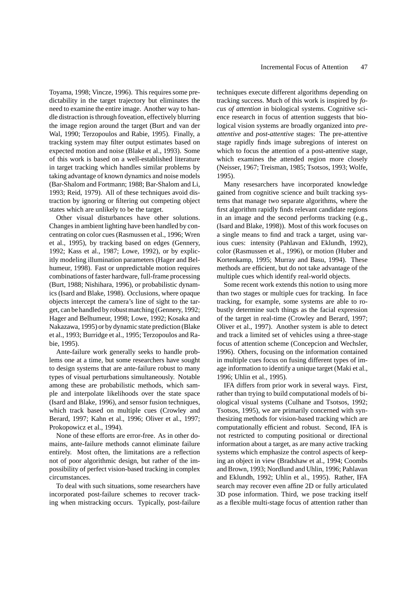Toyama, 1998; Vincze, 1996). This requires some predictability in the target trajectory but eliminates the need to examine the entire image. Another way to handle distraction is through foveation, effectively blurring the image region around the target (Burt and van der Wal, 1990; Terzopoulos and Rabie, 1995). Finally, a tracking system may filter output estimates based on expected motion and noise (Blake et al., 1993). Some of this work is based on a well-established literature in target tracking which handles similar problems by taking advantage of known dynamics and noise models (Bar-Shalom and Fortmann; 1988; Bar-Shalom and Li, 1993; Reid, 1979). All of these techniques avoid distraction by ignoring or filtering out competing object states which are unlikely to be the target.

Other visual disturbances have other solutions. Changes in ambient lighting have been handled by concentrating on color cues (Rasmussen et al., 1996; Wren et al., 1995), by tracking based on edges (Gennery, 1992; Kass et al., 1987; Lowe, 1992), or by explicitly modeling illumination parameters (Hager and Belhumeur, 1998). Fast or unpredictable motion requires combinations of faster hardware, full-frame processing (Burt, 1988; Nishihara, 1996), or probabilistic dynamics (Isard and Blake, 1998). Occlusions, where opaque objects intercept the camera's line of sight to the target, can be handled by robust matching (Gennery, 1992; Hager and Belhumeur, 1998; Lowe, 1992; Kosaka and Nakazawa, 1995) or by dynamic state prediction (Blake et al., 1993; Burridge et al., 1995; Terzopoulos and Rabie, 1995).

Ante-failure work generally seeks to handle problems one at a time, but some researchers have sought to design systems that are ante-failure robust to many types of visual perturbations simultaneously. Notable among these are probabilistic methods, which sample and interpolate likelihoods over the state space (Isard and Blake, 1996), and sensor fusion techniques, which track based on multiple cues (Crowley and Berard, 1997; Kahn et al., 1996; Oliver et al., 1997; Prokopowicz et al., 1994).

None of these efforts are error-free. As in other domains, ante-failure methods cannot eliminate failure entirely. Most often, the limitations are a reflection not of poor algorithmic design, but rather of the impossibility of perfect vision-based tracking in complex circumstances.

To deal with such situations, some researchers have incorporated post-failure schemes to recover tracking when mistracking occurs. Typically, post-failure techniques execute different algorithms depending on tracking success. Much of this work is inspired by *focus of attention* in biological systems. Cognitive science research in focus of attention suggests that biological vision systems are broadly organized into *preattentive* and *post-attentive* stages: The pre-attentive stage rapidly finds image subregions of interest on which to focus the attention of a post-attentive stage, which examines the attended region more closely (Neisser, 1967; Treisman, 1985; Tsotsos, 1993; Wolfe, 1995).

Many resesarchers have incorporated knowledge gained from cognitive science and built tracking systems that manage two separate algorithms, where the first algorithm rapidly finds relevant candidate regions in an image and the second performs tracking (e.g., (Isard and Blake, 1998)). Most of this work focuses on a single means to find and track a target, using various cues: intensity (Pahlavan and Eklundh, 1992), color (Rasmussen et al., 1996), or motion (Huber and Kortenkamp, 1995; Murray and Basu, 1994). These methods are efficient, but do not take advantage of the multiple cues which identify real-world objects.

Some recent work extends this notion to using more than two stages or multiple cues for tracking. In face tracking, for example, some systems are able to robustly determine such things as the facial expression of the target in real-time (Crowley and Berard, 1997; Oliver et al., 1997). Another system is able to detect and track a limited set of vehicles using a three-stage focus of attention scheme (Concepcion and Wechsler, 1996). Others, focusing on the information contained in multiple cues focus on fusing different types of image information to identify a unique target (Maki et al., 1996; Uhlin et al., 1995).

IFA differs from prior work in several ways. First, rather than trying to build computational models of biological visual systems (Culhane and Tsotsos, 1992; Tsotsos, 1995), we are primarily concerned with synthesizing methods for vision-based tracking which are computationally efficient and robust. Second, IFA is not restricted to computing positional or directional information about a target, as are many active tracking systems which emphasize the control aspects of keeping an object in view (Bradshaw et al., 1994; Coombs and Brown, 1993; Nordlund and Uhlin, 1996; Pahlavan and Eklundh, 1992; Uhlin et al., 1995). Rather, IFA search may recover even affine 2D or fully articulated 3D pose information. Third, we pose tracking itself as a flexible multi-stage focus of attention rather than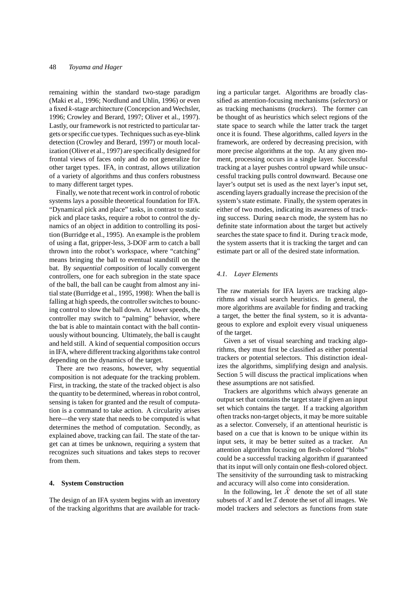remaining within the standard two-stage paradigm (Maki et al., 1996; Nordlund and Uhlin, 1996) or even a fixed *k*-stage architecture (Concepcion and Wechsler, 1996; Crowley and Berard, 1997; Oliver et al., 1997). Lastly, our framework is not restricted to particular targets or specific cue types. Techniques such as eye-blink detection (Crowley and Berard, 1997) or mouth localization (Oliver et al., 1997) are specifically designed for frontal views of faces only and do not generalize for other target types. IFA, in contrast, allows utilization of a variety of algorithms and thus confers robustness to many different target types.

Finally, we note that recent work in control of robotic systems lays a possible theoretical foundation for IFA. "Dynamical pick and place" tasks, in contrast to static pick and place tasks, require a robot to control the dynamics of an object in addition to controlling its position (Burridge et al., 1995). An example is the problem of using a flat, gripper-less, 3-DOF arm to catch a ball thrown into the robot's workspace, where "catching" means bringing the ball to eventual standstill on the bat. By *sequential composition* of locally convergent controllers, one for each subregion in the state space of the ball, the ball can be caught from almost any initial state (Burridge et al., 1995, 1998): When the ball is falling at high speeds, the controller switches to bouncing control to slow the ball down. At lower speeds, the controller may switch to "palming" behavior, where the bat is able to maintain contact with the ball continuously without bouncing. Ultimately, the ball is caught and held still. A kind of sequential composition occurs in IFA, where different tracking algorithms take control depending on the dynamics of the target.

There are two reasons, however, why sequential composition is not adequate for the tracking problem. First, in tracking, the state of the tracked object is also the quantity to be determined, whereas in robot control, sensing is taken for granted and the result of computation is a command to take action. A circularity arises here—the very state that needs to be computed is what determines the method of computation. Secondly, as explained above, tracking can fail. The state of the target can at times be unknown, requiring a system that recognizes such situations and takes steps to recover from them.

## **4. System Construction**

The design of an IFA system begins with an inventory of the tracking algorithms that are available for tracking a particular target. Algorithms are broadly classified as attention-focusing mechanisms (*selectors*) or as tracking mechanisms (*trackers*). The former can be thought of as heuristics which select regions of the state space to search while the latter track the target once it is found. These algorithms, called *layers* in the framework, are ordered by decreasing precision, with more precise algorithms at the top. At any given moment, processing occurs in a single layer. Successful tracking at a layer pushes control upward while unsuccessful tracking pulls control downward. Because one layer's output set is used as the next layer's input set, ascending layers gradually increase the precision of the system's state estimate. Finally, the system operates in either of two modes, indicating its awareness of tracking success. During search mode, the system has no definite state information about the target but actively searches the state space to find it. During track mode, the system asserts that it is tracking the target and can estimate part or all of the desired state information.

#### *4.1. Layer Elements*

The raw materials for IFA layers are tracking algorithms and visual search heuristics. In general, the more algorithms are available for finding and tracking a target, the better the final system, so it is advantageous to explore and exploit every visual uniqueness of the target.

Given a set of visual searching and tracking algorithms, they must first be classified as either potential trackers or potential selectors. This distinction idealizes the algorithms, simplifying design and analysis. Section 5 will discuss the practical implications when these assumptions are not satisfied.

Trackers are algorithms which always generate an output set that contains the target state if given an input set which contains the target. If a tracking algorithm often tracks non-target objects, it may be more suitable as a selector. Conversely, if an attentional heuristic is based on a cue that is known to be unique within its input sets, it may be better suited as a tracker. An attention algorithm focusing on flesh-colored "blobs" could be a successful tracking algorithm if guaranteed that its input will only contain one flesh-colored object. The sensitivity of the surrounding task to mistracking and accuracy will also come into consideration.

In the following, let  $\overline{\mathcal{X}}$  denote the set of all state subsets of  $X$  and let  $I$  denote the set of all images. We model trackers and selectors as functions from state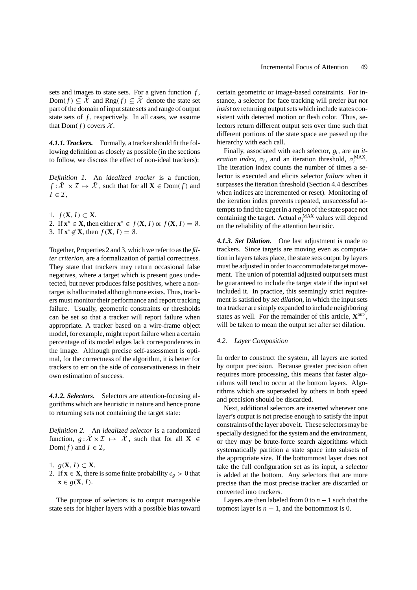sets and images to state sets. For a given function *f* , Dom( $f$ ) ⊆  $\overline{\mathcal{X}}$  and Rng( $f$ ) ⊆  $\overline{\mathcal{X}}$  denote the state set part of the domain of input state sets and range of output state sets of  $f$ , respectively. In all cases, we assume that  $Dom(f)$  covers  $\mathcal{X}$ .

*4.1.1. Trackers.* Formally, a tracker should fit the following definition as closely as possible (in the sections to follow, we discuss the effect of non-ideal trackers):

*Definition 1.* An *idealized tracker* is a function,  $f: \mathcal{X} \times \mathcal{I} \mapsto \mathcal{X}$ , such that for all **X**  $\in$  Dom(*f*) and  $I \in \mathcal{I}$ ,

1.  $f(\mathbf{X}, I) \subset \mathbf{X}$ .

2. If  $\mathbf{x}^* \in \mathbf{X}$ , then either  $\mathbf{x}^* \in f(\mathbf{X}, I)$  or  $f(\mathbf{X}, I) = \emptyset$ .

3. If  $\mathbf{x}^* \notin \mathbf{X}$ , then  $f(\mathbf{X}, I) = \emptyset$ .

Together, Properties 2 and 3, which we refer to as the *filter criterion*, are a formalization of partial correctness. They state that trackers may return occasional false negatives, where a target which is present goes undetected, but never produces false positives, where a nontarget is hallucinated although none exists. Thus, trackers must monitor their performance and report tracking failure. Usually, geometric constraints or thresholds can be set so that a tracker will report failure when appropriate. A tracker based on a wire-frame object model, for example, might report failure when a certain percentage of its model edges lack correspondences in the image. Although precise self-assessment is optimal, for the correctness of the algorithm, it is better for trackers to err on the side of conservativeness in their own estimation of success.

*4.1.2. Selectors.* Selectors are attention-focusing algorithms which are heuristic in nature and hence prone to returning sets not containing the target state:

*Definition 2.* An *idealized selector* is a randomized function,  $g: \overline{\mathcal{X}} \times \mathcal{I} \mapsto \overline{\mathcal{X}}$ , such that for all **X** ∈ Dom( $f$ ) and  $I \in \mathcal{I}$ ,

- 1.  $g(\mathbf{X}, I) \subset \mathbf{X}$ .
- 2. If  $\mathbf{x} \in \mathbf{X}$ , there is some finite probability  $\epsilon_g > 0$  that  $\mathbf{x} \in g(\mathbf{X}, I).$

The purpose of selectors is to output manageable state sets for higher layers with a possible bias toward

certain geometric or image-based constraints. For instance, a selector for face tracking will prefer *but not insist on* returning output sets which include states consistent with detected motion or flesh color. Thus, selectors return different output sets over time such that different portions of the state space are passed up the hierarchy with each call.

Finally, associated with each selector,  $g_i$ , are an *iteration index,*  $\sigma_i$ , and an iteration threshold,  $\sigma_i^{\text{MAX}}$ . The iteration index counts the number of times a selector is executed and elicits selector *failure* when it surpasses the iteration threshold (Section 4.4 describes when indices are incremented or reset). Monitoring of the iteration index prevents repeated, unsuccessful attempts to find the target in a region of the state space not containing the target. Actual  $\sigma_i^{MAX}$  values will depend on the reliability of the attention heuristic.

*4.1.3. Set Dilation.* One last adjustment is made to trackers. Since targets are moving even as computation in layers takes place, the state sets output by layers must be adjusted in order to accommodate target movement. The union of potential adjusted output sets must be guaranteed to include the target state if the input set included it. In practice, this seemingly strict requirement is satisfied by *set dilation*, in which the input sets to a tracker are simply expanded to include neighboring states as well. For the remainder of this article,  $X<sup>out'</sup>$ , will be taken to mean the output set after set dilation.

## *4.2. Layer Composition*

In order to construct the system, all layers are sorted by output precision. Because greater precision often requires more processing, this means that faster algorithms will tend to occur at the bottom layers. Algorithms which are superseded by others in both speed and precision should be discarded.

Next, additional selectors are inserted wherever one layer's output is not precise enough to satisfy the input constraints of the layer above it. These selectors may be specially designed for the system and the environment, or they may be brute-force search algorithms which systematically partition a state space into subsets of the appropriate size. If the bottommost layer does not take the full configuration set as its input, a selector is added at the bottom. Any selectors that are more precise than the most precise tracker are discarded or converted into trackers.

Layers are then labeled from 0 to  $n - 1$  such that the topmost layer is  $n - 1$ , and the bottommost is 0.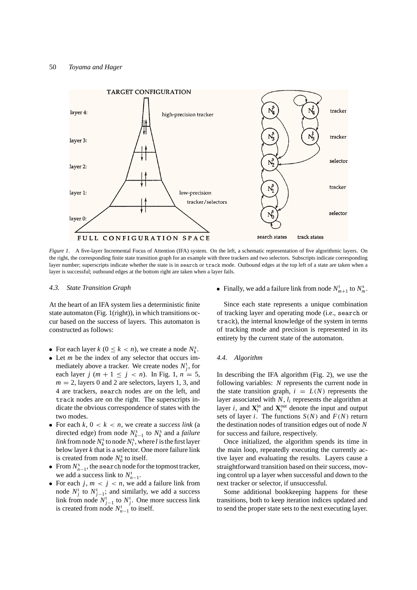

*Figure 1*. A five-layer Incremental Focus of Attention (IFA) system. On the left, a schematic representation of five algorithmic layers. On the right, the corresponding finite state transition graph for an example with three trackers and two selectors. Subscripts indicate corresponding layer number; superscripts indicate whether the state is in search or track mode. Outbound edges at the top left of a state are taken when a layer is successful; outbound edges at the bottom right are taken when a layer fails.

## *4.3. State Transition Graph*

At the heart of an IFA system lies a deterministic finite state automaton (Fig. 1(right)), in which transitions occur based on the success of layers. This automaton is constructed as follows:

- For each layer  $k$  ( $0 \le k < n$ ), we create a node  $N_k^s$ .
- Let *m* be the index of any selector that occurs immediately above a tracker. We create nodes  $N_j^t$ , for each layer *j*  $(m + 1 \le j \le n)$ . In Fig. 1,  $n = 5$ ,  $m = 2$ , layers 0 and 2 are selectors, layers 1, 3, and 4 are trackers, search nodes are on the left, and track nodes are on the right. The superscripts indicate the obvious correspondence of states with the two modes.
- For each  $k, 0 < k < n$ , we create a *success link* (a directed edge) from node  $N_{k-1}^s$  to  $N_k^s$  and a *failure link* from node  $N_k^s$  to node  $N_l^s$ , where *l* is the first layer below layer *k* that is a selector. One more failure link is created from node  $N_0^s$  to itself.
- From  $N_{n-1}^s$ , the search node for the topmost tracker, we add a success link to  $N_{n-1}^t$ .
- For each  $j, m < j < n$ , we add a failure link from node  $N_f^t$  to  $N_{j-1}^t$ ; and similarly, we add a success link from node  $N_{j-1}^t$  to  $N_j^t$ . One more success link is created from node  $N_{n-1}^t$  to itself.

# • Finally, we add a failure link from node  $N_{m+1}^{\text{t}}$  to  $N_m^{\text{s}}$ .

Since each state represents a unique combination of tracking layer and operating mode (i.e., search or track), the internal knowledge of the system in terms of tracking mode and precision is represented in its entirety by the current state of the automaton.

## *4.4. Algorithm*

In describing the IFA algorithm (Fig. 2), we use the following variables: *N* represents the current node in the state transition graph,  $i = L(N)$  represents the layer associated with *N*, *li* represents the algorithm at layer *i*, and  $\mathbf{X}_i^{\text{in}}$  and  $\mathbf{X}_i^{\text{out}}$  denote the input and output sets of layer *i*. The functions  $S(N)$  and  $F(N)$  return the destination nodes of transition edges out of node *N* for success and failure, respectively.

Once initialized, the algorithm spends its time in the main loop, repeatedly executing the currently active layer and evaluating the results. Layers cause a straightforward transition based on their success, moving control up a layer when successful and down to the next tracker or selector, if unsuccessful.

Some additional bookkeeping happens for these transitions, both to keep iteration indices updated and to send the proper state sets to the next executing layer.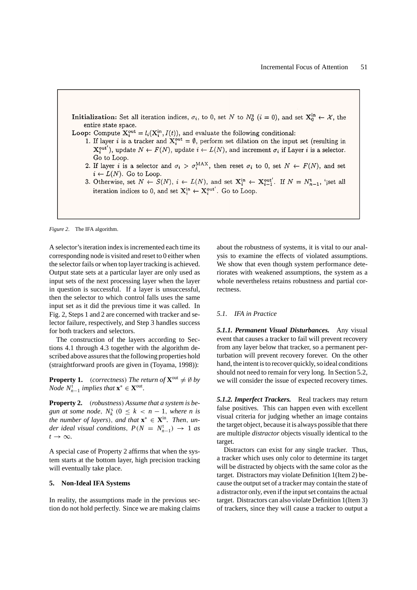**Initialization:** Set all iteration indices,  $\sigma_i$ , to 0, set N to  $N_0^s$  ( $i = 0$ ), and set  $X_0^{in} \leftarrow \mathcal{X}$ , the entire state space.

**Loop:** Compute  $X_i^{\text{out}} = l_i(X_i^{\text{in}}, I(t))$ , and evaluate the following conditional:

- 1. If layer i is a tracker and  $X_i^{\text{out}} = \emptyset$ , perform set dilation on the input set (resulting in  $\mathbf{X}^{\text{out'}}_i$ , update  $N \leftarrow F(N)$ , update  $i \leftarrow L(N)$ , and increment  $\sigma_i$  if Layer i is a selector. Go to Loop.
- 2. If layer i is a selector and  $\sigma_i > \sigma_i^{\text{MAX}}$ , then reset  $\sigma_i$  to 0, set  $N \leftarrow F(N)$ , and set  $i \leftarrow L(N)$ . Go to Loop.
- 3. Otherwise, set  $N \leftarrow S(N)$ ,  $i \leftarrow L(N)$ , and set  $X_i^{in} \leftarrow X_{i-1}^{out'}$ . If  $N = N_{n-1}^t$ , 'jset all iteration indices to 0, and set  $X_i^{in} \leftarrow X_i^{out'}$ . Go to Loop.

*Figure 2*. The IFA algorithm.

A selector's iteration index is incremented each time its corresponding node is visited and reset to 0 either when the selector fails or when top layer tracking is achieved. Output state sets at a particular layer are only used as input sets of the next processing layer when the layer in question is successful. If a layer is unsuccessful, then the selector to which control falls uses the same input set as it did the previous time it was called. In Fig. 2, Steps 1 and 2 are concerned with tracker and selector failure, respectively, and Step 3 handles success for both trackers and selectors.

The construction of the layers according to Sections 4.1 through 4.3 together with the algorithm described above assures that the following properties hold (straightforward proofs are given in (Toyama, 1998)):

**Property 1.** (*correctness*) *The return of*  $\mathbf{X}^{\text{out}} \neq \emptyset$  *by Node*  $N_{n-1}^{\text{t}}$  *implies that*  $\mathbf{x}^* \in \mathbf{X}^{\text{out}}$ *.* 

**Property 2.** (*robustness*) *Assume that a system is begun at some node*,  $N_k^s$  ( $0 \leq k < n - 1$ , *where n is the number of layers*), *and that*  $\mathbf{x}^* \in \mathbf{X}^{\text{in}}$ *. Then, under ideal visual conditions,*  $P(N = N_{n-1}^t) \rightarrow 1$  *as*  $t \rightarrow \infty$ *.* 

A special case of Property 2 affirms that when the system starts at the bottom layer, high precision tracking will eventually take place.

## **5. Non-Ideal IFA Systems**

In reality, the assumptions made in the previous section do not hold perfectly. Since we are making claims about the robustness of systems, it is vital to our analysis to examine the effects of violated assumptions. We show that even though system performance deteriorates with weakened assumptions, the system as a whole nevertheless retains robustness and partial correctness.

## *5.1. IFA in Practice*

*5.1.1. Permanent Visual Disturbances.* Any visual event that causes a tracker to fail will prevent recovery from any layer below that tracker, so a permanent perturbation will prevent recovery forever. On the other hand, the intent is to recover quickly, so ideal conditions should not need to remain for very long. In Section 5.2, we will consider the issue of expected recovery times.

*5.1.2. Imperfect Trackers.* Real trackers may return false positives. This can happen even with excellent visual criteria for judging whether an image contains the target object, because it is always possible that there are multiple *distractor* objects visually identical to the target.

Distractors can exist for any single tracker. Thus, a tracker which uses only color to determine its target will be distracted by objects with the same color as the target. Distractors may violate Definition 1(Item 2) because the output set of a tracker may contain the state of a distractor only, even if the input set contains the actual target. Distractors can also violate Definition 1(Item 3) of trackers, since they will cause a tracker to output a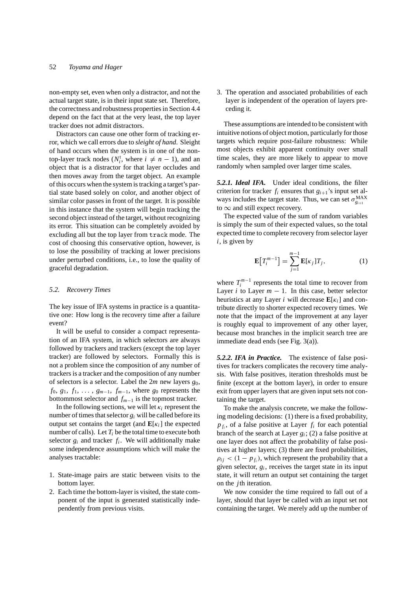non-empty set, even when only a distractor, and not the actual target state, is in their input state set. Therefore, the correctness and robustness properties in Section 4.4 depend on the fact that at the very least, the top layer tracker does not admit distractors.

Distractors can cause one other form of tracking error, which we call errors due to *sleight of hand*. Sleight of hand occurs when the system is in one of the nontop-layer track nodes ( $N_i^t$ , where  $i \neq n-1$ ), and an object that is a distractor for that layer occludes and then moves away from the target object. An example of this occurs when the system is tracking a target's partial state based solely on color, and another object of similar color passes in front of the target. It is possible in this instance that the system will begin tracking the second object instead of the target, without recognizing its error. This situation can be completely avoided by excluding all but the top layer from track mode. The cost of choosing this conservative option, however, is to lose the possibility of tracking at lower precisions under perturbed conditions, i.e., to lose the quality of graceful degradation.

#### *5.2. Recovery Times*

The key issue of IFA systems in practice is a quantitative one: How long is the recovery time after a failure event?

It will be useful to consider a compact representation of an IFA system, in which selectors are always followed by trackers and trackers (except the top layer tracker) are followed by selectors. Formally this is not a problem since the composition of any number of trackers is a tracker and the composition of any number of selectors is a selector. Label the 2*m* new layers *g*0,  $f_0$ ,  $g_1$ ,  $f_1$ ,  $\dots$ ,  $g_{m-1}$ ,  $f_{m-1}$ , where  $g_0$  represents the bottommost selector and  $f_{m-1}$  is the topmost tracker.

In the following sections, we will let  $\kappa_i$  represent the number of times that selector *gi* will be called before its output set contains the target (and  $\mathbf{E}[\kappa_i]$  the expected number of calls). Let  $T_i$  be the total time to execute both selector  $g_i$  and tracker  $f_i$ . We will additionally make some independence assumptions which will make the analyses tractable:

- 1. State-image pairs are static between visits to the bottom layer.
- 2. Each time the bottom-layer is visited, the state component of the input is generated statistically independently from previous visits.

3. The operation and associated probabilities of each layer is independent of the operation of layers preceding it.

These assumptions are intended to be consistent with intuitive notions of object motion, particularly for those targets which require post-failure robustness: While most objects exhibit apparent continuity over small time scales, they are more likely to appear to move randomly when sampled over larger time scales.

*5.2.1. Ideal IFA.* Under ideal conditions, the filter criterion for tracker  $f_i$  ensures that  $g_{i+1}$ 's input set always includes the target state. Thus, we can set  $\sigma_{g_{i+1}}^{MAX}$ to  $\infty$  and still expect recovery.

The expected value of the sum of random variables is simply the sum of their expected values, so the total expected time to complete recovery from selector layer *i*, is given by

$$
\mathbf{E}\big[T_i^{m-1}\big] = \sum_{j=1}^{m-1} \mathbf{E}[\kappa_j] T_j,\tag{1}
$$

where  $T_i^{m-1}$  represents the total time to recover from Layer *i* to Layer  $m - 1$ . In this case, better selector heuristics at any Layer *i* will decrease  $\mathbf{E}[\kappa_i]$  and contribute directly to shorter expected recovery times. We note that the impact of the improvement at any layer is roughly equal to improvement of any other layer, because most branches in the implicit search tree are immediate dead ends (see Fig. 3(a)).

*5.2.2. IFA in Practice.* The existence of false positives for trackers complicates the recovery time analysis. With false positives, iteration thresholds must be finite (except at the bottom layer), in order to ensure exit from upper layers that are given input sets not containing the target.

To make the analysis concrete, we make the following modeling decisions: (1) there is a fixed probability,  $p_{f_i}$ , of a false positive at Layer  $f_i$  for each potential branch of the search at Layer  $g_i$ ; (2) a false positive at one layer does not affect the probability of false positives at higher layers; (3) there are fixed probabilities,  $\rho_{ij}$  <  $(1 - p_{fi})$ , which represent the probability that a given selector,  $g_i$ , receives the target state in its input state, it will return an output set containing the target on the *j*th iteration.

We now consider the time required to fall out of a layer, should that layer be called with an input set not containing the target. We merely add up the number of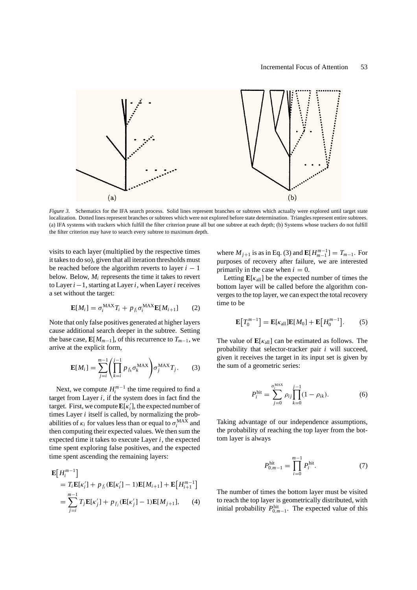

*Figure 3*. Schematics for the IFA search process. Solid lines represent branches or subtrees which actually were explored until target state localization. Dotted lines represent branches or subtrees which were not explored before state determination. Triangles represent entire subtrees. (a) IFA systems with trackers which fulfill the filter criterion prune all but one subtree at each depth; (b) Systems whose trackers do not fulfill the filter criterion may have to search every subtree to maximum depth.

visits to each layer (multiplied by the respective times it takes to do so), given that all iteration thresholds must be reached before the algorithm reverts to layer  $i - 1$ below. Below,  $M_i$  represents the time it takes to revert to Layer*i*−1, starting at Layer*i*, when Layer*i* receives a set without the target:

$$
\mathbf{E}[M_i] = \sigma_i^{\text{MAX}} T_i + p_{f_i} \sigma_i^{\text{MAX}} \mathbf{E}[M_{i+1}] \tag{2}
$$

Note that only false positives generated at higher layers cause additional search deeper in the subtree. Setting the base case,  $\mathbf{E}[M_{m-1}]$ , of this recurrence to  $T_{m-1}$ , we arrive at the explicit form,

$$
\mathbf{E}[M_i] = \sum_{j=i}^{m-1} \left( \prod_{k=i}^{j-1} p_{f_k} \sigma_k^{\text{MAX}} \right) \sigma_j^{\text{MAX}} T_j. \tag{3}
$$

Next, we compute  $H_i^{m-1}$  the time required to find a target from Layer *i*, if the system does in fact find the target. First, we compute  $\mathbf{E}[\kappa_i']$ , the expected number of times Layer *i* itself is called, by normalizing the probabilities of  $\kappa_i$  for values less than or equal to  $\sigma_i^{\text{MAX}}$  and then computing their expected values. We then sum the expected time it takes to execute Layer *i*, the expected time spent exploring false positives, and the expected time spent ascending the remaining layers:

$$
\mathbf{E}[H_i^{m-1}]
$$
  
=  $T_i \mathbf{E}[\kappa'_i] + p_{f_i} (\mathbf{E}[\kappa'_i] - 1) \mathbf{E}[M_{i+1}] + \mathbf{E}[H_{i+1}^{m-1}]$   
=  $\sum_{j=i}^{m-1} T_j \mathbf{E}[\kappa'_j] + p_{f_j} (\mathbf{E}[\kappa'_j] - 1) \mathbf{E}[M_{j+1}],$  (4)

where  $M_{j+1}$  is as in Eq. (3) and  $\mathbb{E}[H_{m-1}^{m-1}] = T_{m-1}$ . For purposes of recovery after failure, we are interested primarily in the case when  $i = 0$ .

Letting  $\mathbf{E}[\kappa_{all}]$  be the expected number of times the bottom layer will be called before the algorithm converges to the top layer, we can expect the total recovery time to be

$$
\mathbf{E}\big[T_0^{m-1}\big] = \mathbf{E}[\kappa_{\text{all}}]\mathbf{E}[M_0] + \mathbf{E}\big[H_0^{m-1}\big].\tag{5}
$$

The value of  $E[\kappa_{all}]$  can be estimated as follows. The probability that selector-tracker pair *i* will succeed, given it receives the target in its input set is given by the sum of a geometric series:

$$
P_i^{\text{hit}} = \sum_{j=0}^{\sigma_i^{\text{MAX}}} \rho_{ij} \prod_{k=0}^{j-1} (1 - \rho_{ik}).
$$
 (6)

Taking advantage of our independence assumptions, the probability of reaching the top layer from the bottom layer is always

$$
P_{0,m-1}^{\text{hit}} = \prod_{i=0}^{m-1} P_i^{\text{hit}}.
$$
 (7)

The number of times the bottom layer must be visited to reach the top layer is geometrically distributed, with initial probability  $P_{0,m-1}^{\text{hit}}$ . The expected value of this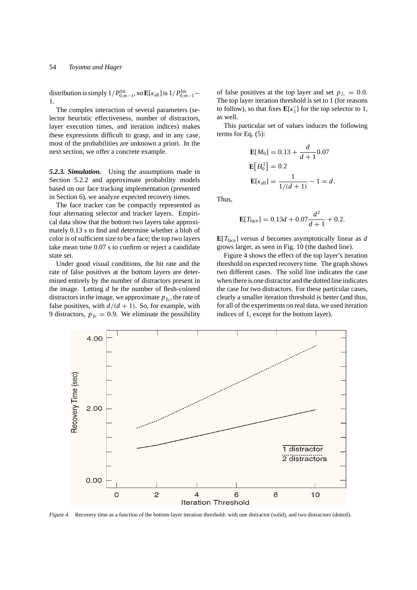distribution is simply  $1/P_{0,m-1}^{\text{hit}}$ , so  $\mathbf{E}[\kappa_{\text{all}}]$  is  $1/P_{0,m-1}^{\text{hit}}$ 1.

The complex interaction of several parameters (selector heuristic effectiveness, number of distractors, layer execution times, and iteration indices) makes these expressions difficult to grasp, and in any case, most of the probabilities are unknown a priori. In the next section, we offer a concrete example.

*5.2.3. Simulation.* Using the assumptions made in Section 5.2.2 and approximate probability models based on our face tracking implementation (presented in Section 6), we analyze expected recovery times.

The face tracker can be compactly represented as four alternating selector and tracker layers. Empirical data show that the bottom two layers take approximately 0.13 s to find and determine whether a blob of color is of sufficient size to be a face; the top two layers take mean time 0.07 s to confirm or reject a candidate state set.

Under good visual conditions, the hit rate and the rate of false positives at the bottom layers are determined entirely by the number of distractors present in the image. Letting *d* be the number of flesh-colored distractors in the image, we approximate  $p_{f_0}$ , the rate of false positives, with  $d/(d + 1)$ . So, for example, with 9 distractors,  $p_{f_0} = 0.9$ . We eliminate the possibility of false positives at the top layer and set  $p_{f_1} = 0.0$ . The top layer iteration threshold is set to 1 (for reasons to follow), so that fixes  $\mathbf{E}[\kappa_1']$  for the top selector to 1, as well.

This particular set of values induces the following terms for Eq. (5):

$$
\mathbf{E}[M_0] = 0.13 + \frac{d}{d+1} 0.07
$$
  
\n
$$
\mathbf{E}[H_0^1] = 0.2
$$
  
\n
$$
\mathbf{E}[\kappa_{all}] = \frac{1}{1/(d+1)} - 1 = d.
$$

Thus,

$$
\mathbf{E}[T_{\text{face}}] = 0.13d + 0.07 \frac{d^2}{d+1} + 0.2.
$$

**E**[*T*face] versus *d* becomes asymptotically linear as *d* grows larger, as seen in Fig. 10 (the dashed line).

Figure 4 shows the effect of the top layer's iteration threshold on expected recovery time. The graph shows two different cases. The solid line indicates the case when there is one distractor and the dotted line indicates the case for two distractors. For these particular cases, clearly a smaller iteration threshold is better (and thus, for all of the experiments on real data, we used iteration indices of 1, except for the bottom layer).



*Figure 4.* Recovery time as a function of the bottom-layer iteration threshold: with one distractor (solid), and two distractors (dotted).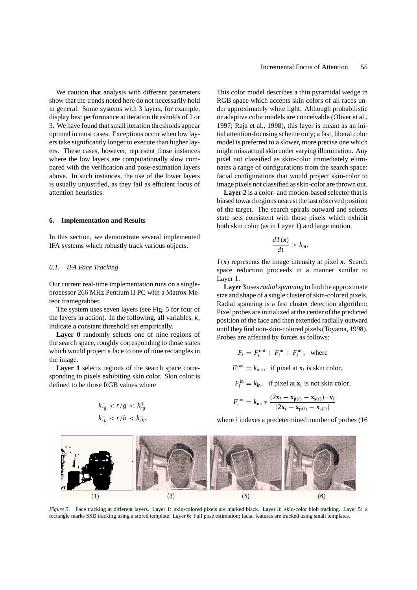We caution that analysis with different parameters show that the trends noted here do not necessarily hold in general. Some systems with 3 layers, for example, display best performance at iteration thresholds of 2 or 3. We have found that small iteration thresholds appear optimal in most cases. Exceptions occur when low layers take significantly longer to execute than higher layers. These cases, however, represent those instances where the low layers are computationally slow compared with the verification and pose-estimation layers above. In such instances, the use of the lower layers is usually unjustified, as they fail as efficient focus of attention heuristics.

#### **6. Implementation and Results**

In this section, we demonstrate several implemented IFA systems which robustly track various objects.

## *6.1. IFA Face Tracking*

Our current real-time implementation runs on a singleprocessor 266 MHz Pentium II PC with a Matrox Meteor framegrabber.

The system uses seven layers (see Fig. 5 for four of the layers in action). In the following, all variables, *k*, indicate a constant threshold set empirically.

Layer 0 randomly selects one of nine regions of the search space, roughly corresponding to those states which would project a face to one of nine rectangles in the image.

**Layer 1** selects regions of the search space corresponding to pixels exhibiting skin color. Skin color is defined to be those RGB values where

$$
k_{rg}^- < r/g < k_{rg}^+ \\
k_{rb}^- < r/b < k_{rb}^+.
$$

This color model describes a thin pyramidal wedge in RGB space which accepts skin colors of all races under approximately white light. Although probabilistic or adaptive color models are conceivable (Oliver et al., 1997; Raja et al., 1998), this layer is meant as an initial attention-focusing scheme only; a fast, liberal color model is preferred to a slower, more precise one which might miss actual skin under varying illumination. Any pixel not classified as skin-color immediately eliminates a range of configurations from the search space: facial configurations that would project skin-color to image pixels not classified as skin-color are thrown out.

Layer 2 is a color- and motion-based selector that is biased toward regions nearest the last observed position of the target. The search spirals outward and selects state sets consistent with those pixels which exhibit both skin color (as in Layer 1) and large motion,

$$
\frac{dI(\mathbf{x})}{dt} > k_m.
$$

 $I(\mathbf{x})$  represents the image intensity at pixel **x**. Search space reduction proceeds in a manner similar to Layer 1.

**Layer 3** uses*radial spanning* to find the approximate size and shape of a single cluster of skin-colored pixels. Radial spanning is a fast cluster detection algorithm: Pixel probes are initialized at the center of the predicted position of the face and then extended radially outward until they find non-skin-colored pixels (Toyama, 1998). Probes are affected by forces as follows:

$$
F_i = F_i^{\text{out}} + F_i^{\text{in}} + F_i^{\text{int}}, \text{ where}
$$
  

$$
F_i^{\text{out}} = k_{\text{out}}, \text{ if pixel at } \mathbf{x}_i \text{ is skin color},
$$

 $F_i^{\text{in}} = k_{\text{in}}$ , if pixel at  $\mathbf{x}_i$  is not skin color,

$$
F_i^{\text{int}} = k_{\text{int}} * \frac{(2\mathbf{x}_i - \mathbf{x}_{\mathbf{p}(i)} - \mathbf{x}_{\mathbf{s}(i)}) \cdot \mathbf{v}_i}{|2\mathbf{x}_i - \mathbf{x}_{\mathbf{p}(i)} - \mathbf{x}_{\mathbf{s}(i)}|}
$$

where *i* indexes a predetermined number of probes (16



*Figure 5*. Face tracking at different layers. Layer 1: skin-colored pixels are marked black. Layer 3: skin-color blob tracking. Layer 5: a rectangle marks SSD tracking using a stored template. Layer 6: Full pose estimation; facial features are tracked using small templates.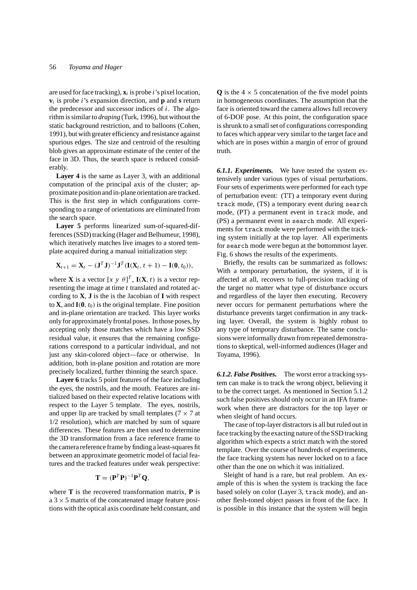are used for face tracking), **x***<sup>i</sup>* is probe *i*'s pixel location,  $v_i$  is probe *i*'s expansion direction, and **p** and **s** return the predecessor and successor indices of *i*. The algorithm is similar to *draping* (Turk, 1996), but without the static background restriction, and to balloons (Cohen, 1991), but with greater efficiency and resistance against spurious edges. The size and centroid of the resulting blob gives an approximate estimate of the center of the face in 3D. Thus, the search space is reduced considerably.

**Layer 4** is the same as Layer 3, with an additional computation of the principal axis of the cluster; approximate position and in-plane orientation are tracked. This is the first step in which configurations corresponding to a range of orientations are eliminated from the search space.

**Layer 5** performs linearized sum-of-squared-differences (SSD) tracking (Hager and Belhumeur, 1998), which iteratively matches live images to a stored template acquired during a manual initialization step:

$$
\mathbf{X}_{t+1} = \mathbf{X}_t - (\mathbf{J}^T \mathbf{J})^{-1} \mathbf{J}^T (\mathbf{I}(\mathbf{X}_t, t+1) - \mathbf{I}(\mathbf{0}, t_0)),
$$

where **X** is a vector  $[x \, y \, \theta]^T$ ,  $\mathbf{I}(\mathbf{X}, t)$  is a vector representing the image at time *t* translated and rotated according to **X**, **J** is the is the Jacobian of **I** with respect to **X**, and  $I(0, t_0)$  is the original template. Fine position and in-plane orientation are tracked. This layer works only for approximately frontal poses. In those poses, by accepting only those matches which have a low SSD residual value, it ensures that the remaining configurations correspond to a particular individual, and not just any skin-colored object—face or otherwise. In addition, both in-plane position and rotation are more precisely localized, further thinning the search space.

**Layer 6** tracks 5 point features of the face including the eyes, the nostrils, and the mouth. Features are initialized based on their expected relative locations with respect to the Layer 5 template. The eyes, nostrils, and upper lip are tracked by small templates ( $7 \times 7$  at 1/2 resolution), which are matched by sum of square differences. These features are then used to determine the 3D transformation from a face reference frame to the camera reference frame by finding a least-squares fit between an approximate geometric model of facial features and the tracked features under weak perspective:

$$
\mathbf{T} = (\mathbf{P}^T \mathbf{P})^{-1} \mathbf{P}^T \mathbf{Q},
$$

where **T** is the recovered transformation matrix, **P** is  $a$  3  $\times$  5 matrix of the concatenated image feature positions with the optical axis coordinate held constant, and **Q** is the  $4 \times 5$  concatenation of the five model points in homogeneous coordinates. The assumption that the face is oriented toward the camera allows full recovery of 6-DOF pose. At this point, the configuration space is shrunk to a small set of configurations corresponding to faces which appear very similar to the target face and which are in poses within a margin of error of ground truth.

*6.1.1. Experiments.* We have tested the system extensively under various types of visual perturbations. Four sets of experiments were performed for each type of perturbation event: (TT) a temporary event during track mode, (TS) a temporary event during search mode, (PT) a permanent event in track mode, and (PS) a permanent event in search mode. All experiments for track mode were performed with the tracking system initially at the top layer. All experiments for search mode were begun at the bottommost layer. Fig. 6 shows the results of the experiments.

Briefly, the results can be summarized as follows: With a temporary perturbation, the system, if it is affected at all, recovers to full-precision tracking of the target no matter what type of disturbance occurs and regardless of the layer then executing. Recovery never occurs for permanent perturbations where the disturbance prevents target confirmation in any tracking layer. Overall, the system is highly robust to any type of temporary disturbance. The same conclusions were informally drawn from repeated demonstrations to skeptical, well-informed audiences (Hager and Toyama, 1996).

*6.1.2. False Positives.* The worst error a tracking system can make is to track the wrong object, believing it to be the correct target. As mentioned in Section 5.1.2 such false positives should only occur in an IFA framework when there are distractors for the top layer or when sleight of hand occurs.

The case of top-layer distractors is all but ruled out in face tracking by the exacting nature of the SSD tracking algorithm which expects a strict match with the stored template. Over the course of hundreds of experiments, the face tracking system has never locked on to a face other than the one on which it was initialized.

Sleight of hand is a rare, but real problem. An example of this is when the system is tracking the face based solely on color (Layer 3, track mode), and another flesh-toned object passes in front of the face. It is possible in this instance that the system will begin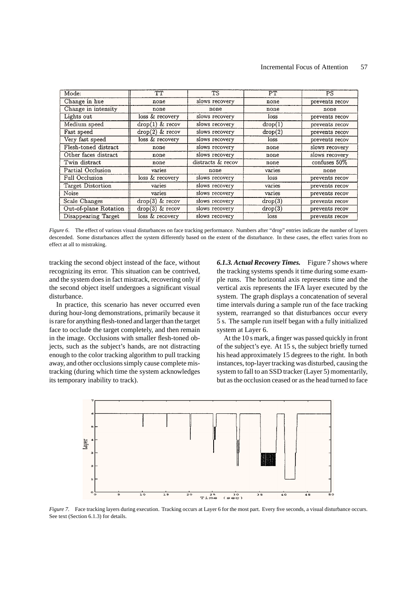| Mode:                 | TT                | TS                | РT      | PS.             |
|-----------------------|-------------------|-------------------|---------|-----------------|
| Change in hue         | none              | slows recovery    | none    | prevents recov  |
| Change in intensity   | none              | none              | none    | none            |
| Lights out            | loss & recovery   | slows recovery    | loss    | prevents recov  |
| Medium speed          | $drop(1)$ & recov | slows recovery    | drop(1) | prevents recov  |
| Fast speed            | $drop(2)$ & recov | slows recovery    | drop(2) | prevents recov  |
| Very fast speed       | loss & recovery   | slows recovery    | loss    | prevents recov  |
| Flesh-toned distract  | none              | slows recovery    | none    | slows recovery  |
| Other faces distract  | none              | slows recovery    | none    | slows recovery  |
| Twin distract         | none              | distracts & recov | none    | $confuses~50\%$ |
| Partial Occlusion     | varies            | none              | varies  | none            |
| Full Occlusion        | loss & recovery   | slows recovery    | loss    | prevents recov  |
| Target Distortion     | varies            | slows recovery    | varies  | prevents recov  |
| Noise                 | varies            | slows recovery    | varies  | prevents recov  |
| Scale Changes         | $drop(3)$ & recov | slows recovery    | drop(3) | prevents recov  |
| Out-of-plane Rotation | $drop(3)$ & recov | slows recovery    | drop(3) | prevents recov  |
| Disappearing Target   | loss & recovery   | slows recovery    | loss    | prevents recov  |

*Figure 6*. The effect of various visual disturbances on face tracking performance. Numbers after "drop" entries indicate the number of layers descended. Some disturbances affect the system differently based on the extent of the disturbance. In these cases, the effect varies from no effect at all to mistraking.

tracking the second object instead of the face, without recognizing its error. This situation can be contrived, and the system does in fact mistrack, recovering only if the second object itself undergoes a significant visual disturbance.

In practice, this scenario has never occurred even during hour-long demonstrations, primarily because it is rare for anything flesh-toned and larger than the target face to occlude the target completely, and then remain in the image. Occlusions with smaller flesh-toned objects, such as the subject's hands, are not distracting enough to the color tracking algorithm to pull tracking away, and other occlusions simply cause complete mistracking (during which time the system acknowledges its temporary inability to track).

*6.1.3. Actual Recovery Times.* Figure 7 shows where the tracking systems spends it time during some example runs. The horizontal axis represents time and the vertical axis represents the IFA layer executed by the system. The graph displays a concatenation of several time intervals during a sample run of the face tracking system, rearranged so that disturbances occur every 5 s. The sample run itself began with a fully initialized system at Layer 6.

At the 10 s mark, a finger was passed quickly in front of the subject's eye. At 15 s, the subject briefly turned his head approximately 15 degrees to the right. In both instances, top-layer tracking was disturbed, causing the system to fall to an SSD tracker (Layer 5) momentarily, but as the occlusion ceased or as the head turned to face



*Figure 7*. Face tracking layers during execution. Tracking occurs at Layer 6 for the most part. Every five seconds, a visual disturbance occurs. See text (Section 6.1.3) for details.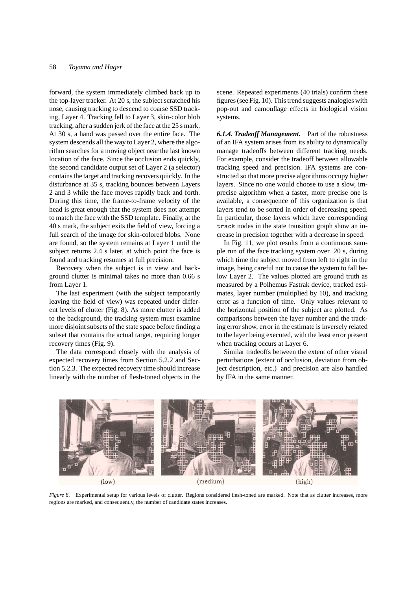forward, the system immediately climbed back up to the top-layer tracker. At 20 s, the subject scratched his nose, causing tracking to descend to coarse SSD tracking, Layer 4. Tracking fell to Layer 3, skin-color blob tracking, after a sudden jerk of the face at the 25 s mark. At 30 s, a hand was passed over the entire face. The system descends all the way to Layer 2, where the algorithm searches for a moving object near the last known location of the face. Since the occlusion ends quickly, the second candidate output set of Layer 2 (a selector) contains the target and tracking recovers quickly. In the disturbance at 35 s, tracking bounces between Layers 2 and 3 while the face moves rapidly back and forth. During this time, the frame-to-frame velocity of the head is great enough that the system does not attempt to match the face with the SSD template. Finally, at the 40 s mark, the subject exits the field of view, forcing a full search of the image for skin-colored blobs. None are found, so the system remains at Layer 1 until the subject returns 2.4 s later, at which point the face is found and tracking resumes at full precision.

Recovery when the subject is in view and background clutter is minimal takes no more than 0.66 s from Layer 1.

The last experiment (with the subject temporarily leaving the field of view) was repeated under different levels of clutter (Fig. 8). As more clutter is added to the background, the tracking system must examine more disjoint subsets of the state space before finding a subset that contains the actual target, requiring longer recovery times (Fig. 9).

The data correspond closely with the analysis of expected recovery times from Section 5.2.2 and Section 5.2.3. The expected recovery time should increase linearly with the number of flesh-toned objects in the

scene. Repeated experiments (40 trials) confirm these figures (see Fig. 10). This trend suggests analogies with pop-out and camouflage effects in biological vision systems.

*6.1.4. Tradeoff Management.* Part of the robustness of an IFA system arises from its ability to dynamically manage tradeoffs between different tracking needs. For example, consider the tradeoff between allowable tracking speed and precision. IFA systems are constructed so that more precise algorithms occupy higher layers. Since no one would choose to use a slow, imprecise algorithm when a faster, more precise one is available, a consequence of this organization is that layers tend to be sorted in order of decreasing speed. In particular, those layers which have corresponding track nodes in the state transition graph show an increase in precision together with a decrease in speed.

In Fig. 11, we plot results from a continuous sample run of the face tracking system over 20 s, during which time the subject moved from left to right in the image, being careful not to cause the system to fall below Layer 2. The values plotted are ground truth as measured by a Polhemus Fastrak device, tracked estimates, layer number (multiplied by 10), and tracking error as a function of time. Only values relevant to the horizontal position of the subject are plotted. As comparisons between the layer number and the tracking error show, error in the estimate is inversely related to the layer being executed, with the least error present when tracking occurs at Layer 6.

Similar tradeoffs between the extent of other visual perturbations (extent of occlusion, deviation from object description, etc.) and precision are also handled by IFA in the same manner.



*Figure 8*. Experimental setup for various levels of clutter. Regions considered flesh-toned are marked. Note that as clutter increases, more regions are marked, and consequently, the number of candidate states increases.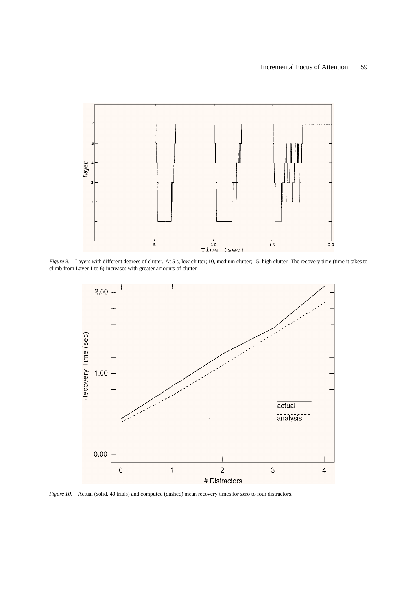

*Figure 9.* Layers with different degrees of clutter. At 5 s, low clutter; 10, medium clutter; 15, high clutter. The recovery time (time it takes to climb from Layer 1 to 6) increases with greater amounts of clutter.



*Figure 10*. Actual (solid, 40 trials) and computed (dashed) mean recovery times for zero to four distractors.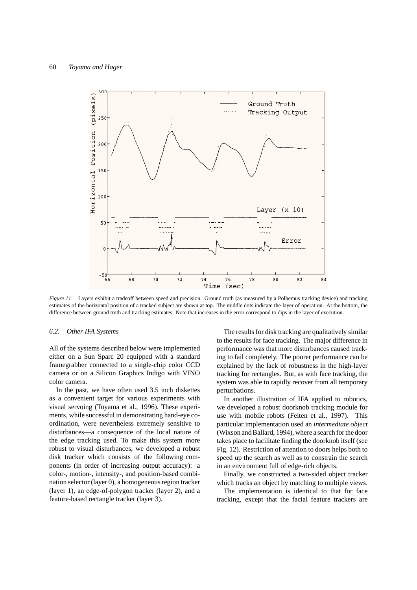

*Figure 11*. Layers exhibit a tradeoff between speed and precision. Ground truth (as measured by a Polhemus tracking device) and tracking estimates of the horizontal position of a tracked subject are shown at top. The middle dots indicate the layer of operation. At the bottom, the difference between ground truth and tracking estimates. Note that increases in the error correspond to dips in the layer of execution.

#### *6.2. Other IFA Systems*

All of the systems described below were implemented either on a Sun Sparc 20 equipped with a standard framegrabber connected to a single-chip color CCD camera or on a Silicon Graphics Indigo with VINO color camera.

In the past, we have often used 3.5 inch diskettes as a convenient target for various experiments with visual servoing (Toyama et al., 1996). These experiments, while successful in demonstrating hand-eye coordination, were nevertheless extremely sensitive to disturbances—a consequence of the local nature of the edge tracking used. To make this system more robust to visual disturbances, we developed a robust disk tracker which consists of the following components (in order of increasing output accuracy): a color-, motion-, intensity-, and position-based combination selector (layer 0), a homogeneous region tracker (layer 1), an edge-of-polygon tracker (layer 2), and a feature-based rectangle tracker (layer 3).

The results for disk tracking are qualitatively similar to the results for face tracking. The major difference in performance was that more disturbances caused tracking to fail completely. The poorer performance can be explained by the lack of robustness in the high-layer tracking for rectangles. But, as with face tracking, the system was able to rapidly recover from all temporary perturbations.

In another illustration of IFA applied to robotics, we developed a robust doorknob tracking module for use with mobile robots (Feiten et al., 1997). This particular implementation used an *intermediate object* (Wixson and Ballard, 1994), where a search for the door takes place to facilitate finding the doorknob itself (see Fig. 12). Restriction of attention to doors helps both to speed up the search as well as to constrain the search in an environment full of edge-rich objects.

Finally, we constructed a two-sided object tracker which tracks an object by matching to multiple views.

The implementation is identical to that for face tracking, except that the facial feature trackers are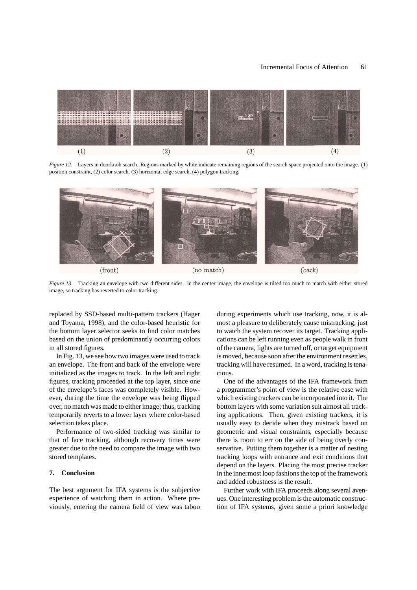## Incremental Focus of Attention 61



*Figure 12.* Layers in doorknob search. Regions marked by white indicate remaining regions of the search space projected onto the image. (1) position constraint, (2) color search, (3) horizontal edge search, (4) polygon tracking.



*Figure 13.* Tracking an envelope with two different sides. In the center image, the envelope is tilted too much to match with either stored image, so tracking has reverted to color tracking.

replaced by SSD-based multi-pattern trackers (Hager and Toyama, 1998), and the color-based heuristic for the bottom layer selector seeks to find color matches based on the union of predominantly occurring colors in all stored figures.

In Fig. 13, we see how two images were used to track an envelope. The front and back of the envelope were initialized as the images to track. In the left and right figures, tracking proceeded at the top layer, since one of the envelope's faces was completely visible. However, during the time the envelope was being flipped over, no match was made to either image; thus, tracking temporarily reverts to a lower layer where color-based selection takes place.

Performance of two-sided tracking was similar to that of face tracking, although recovery times were greater due to the need to compare the image with two stored templates.

## **7. Conclusion**

The best argument for IFA systems is the subjective experience of watching them in action. Where previously, entering the camera field of view was taboo

during experiments which use tracking, now, it is almost a pleasure to deliberately cause mistracking, just to watch the system recover its target. Tracking applications can be left running even as people walk in front of the camera, lights are turned off, or target equipment is moved, because soon after the environment resettles, tracking will have resumed. In a word, tracking is tenacious.

One of the advantages of the IFA framework from a programmer's point of view is the relative ease with which existing trackers can be incorporated into it. The bottom layers with some variation suit almost all tracking applications. Then, given existing trackers, it is usually easy to decide when they mistrack based on geometric and visual constraints, especially because there is room to err on the side of being overly conservative. Putting them together is a matter of nesting tracking loops with entrance and exit conditions that depend on the layers. Placing the most precise tracker in the innermost loop fashions the top of the framework and added robustness is the result.

Further work with IFA proceeds along several avenues. One interesting problem is the automatic construction of IFA systems, given some a priori knowledge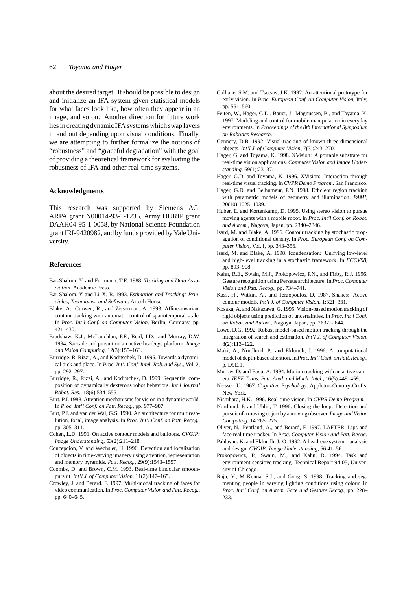## 62 *Toyama and Hager*

about the desired target. It should be possible to design and initialize an IFA system given statistical models for what faces look like, how often they appear in an image, and so on. Another direction for future work lies in creating dynamic IFA systems which swap layers in and out depending upon visual conditions. Finally, we are attempting to further formalize the notions of "robustness" and "graceful degradation" with the goal of providing a theoretical framework for evaluating the robustness of IFA and other real-time systems.

### **Acknowledgments**

This research was supported by Siemens AG, ARPA grant N00014-93-1-1235, Army DURIP grant DAAH04-95-1-0058, by National Science Foundation grant IRI-9420982, and by funds provided by Yale University.

#### **References**

- Bar-Shalom, Y. and Fortmann, T.E. 1988. *Tracking and Data Association*. Academic Press.
- Bar-Shalom, Y. and Li, X.-R. 1993. *Estimation and Tracking: Principles, Techniques, and Software*. Artech House.
- Blake, A., Curwen, R., and Zisserman. A. 1993. Affine-invariant contour tracking with automatic control of spatiotemporal scale. In *Proc. Int'l Conf. on Computer Vision*, Berlin, Germany, pp. 421–430.
- Bradshaw, K.J., McLauchlan, P.F., Reid, I.D., and Murray, D.W. 1994. Saccade and pursuit on an active head/eye platform. *Image and Vision Computing*, 12(3):155–163.
- Burridge, R. Rizzi, A., and Koditschek, D. 1995. Towards a dynamical pick and place. In *Proc. Int'l Conf. Intel. Rob. and Sys.*, Vol. 2, pp. 292–297.
- Burridge, R., Rizzi, A., and Koditschek, D. 1999. Sequential composition of dynamically dexterous robot behaviors. *Int'l Journal Robot. Res.*, 18(6):534–555.
- Burt, P.J. 1988. Attention mechanisms for vision in a dynamic world. In *Proc. Int'l Conf. on Patt. Recog.*, pp. 977–987.
- Burt, P.J. and van der Wal, G.S. 1990. An architecture for multiresolution, focal, image analysis. In *Proc. Int'l Conf. on Patt. Recog.*, pp. 305–311.
- Cohen, L.D. 1991. On active contour models and balloons. *CVGIP: Image Understanding*, 53(2):211–218.
- Concepcion, V. and Wechsler, H. 1996. Detection and localization of objects in time-varying imagery using attention, representation and memory pyramids. *Patt. Recog.*, 29(9):1543–1557.
- Coombs, D. and Brown, C.M. 1993. Real-time binocular smoothpursuit. *Int'l J. of Computer Vision*, 11(2):147–165.
- Crowley, J. and Berard. F. 1997. Multi-modal tracking of faces for video communication. In *Proc. Computer Vision and Patt. Recog.*, pp. 640–645.
- Culhane, S.M. and Tsotsos, J.K. 1992. An attentional prototype for early vision. In *Proc. European Conf. on Computer Vision*, Italy, pp. 551–560.
- Feiten, W., Hager, G.D., Bauer, J., Magnussen, B., and Toyama, K. 1997. Modeling and control for mobile manipulation in everyday environments. In *Proceedings of the 8th International Symposium on Robotics Research*.
- Gennery, D.B. 1992. Visual tracking of known three-dimensional objects. *Int'l J. of Computer Vision*, 7(3):243–270.
- Hager, G. and Toyama, K. 1998. XVision: A portable substrate for real-time vision applications. *Computer Vision and Image Understanding*, 69(1):23–37.
- Hager, G.D. and Toyama, K. 1996. XVision: Interaction through real-time visual tracking. In *CVPR Demo Program*. San Francisco.
- Hager, G.D. and Belhumeur, P.N. 1998. Efficient region tracking with parametric models of geometry and illumination. *PAMI*, 20(10):1025–1039.
- Huber, E. and Kortenkamp, D. 1995. Using stereo vision to pursue moving agents with a mobile robot. In *Proc. Int'l Conf. on Robot. and Autom.*, Nagoya, Japan, pp. 2340–2346.
- Isard, M. and Blake, A. 1996. Contour tracking by stochastic propagation of conditional density. In *Proc. European Conf. on Computer Vision*, Vol. I, pp. 343–356.
- Isard, M. and Blake, A. 1998. Icondensation: Unifying low-level and high-level tracking in a stochastic framework. In *ECCV98*, pp. 893–908.
- Kahn, R.E., Swain, M.J., Prokopowicz, P.N., and Firby, R.J. 1996. Gesture recognition using Perseus architecture. In *Proc. Computer Vision and Patt. Recog.*, pp. 734–741.
- Kass, H., Witkin, A., and Terzopoulos, D. 1987. Snakes: Active contour models. *Int'l J. of Computer Vision*, 1:321–331.
- Kosaka, A. and Nakazawa, G. 1995. Vision-based motion tracking of rigid objects using prediction of uncertainties. In *Proc. Int'l Conf. on Robot. and Autom.*, Nagoya, Japan, pp. 2637–2644.
- Lowe, D.G. 1992. Robust model-based motion tracking through the integration of search and estimation. *Int'l J. of Computer Vision*, 8(2):113–122.
- Maki, A., Nordlund, P., and Eklundh, J. 1996. A computational model of depth-based attention. In*Proc. Int'l Conf. on Patt. Recog.*, p. D9E.1.
- Murray, D. and Basu, A. 1994. Motion tracking with an active camera. *IEEE Trans. Patt. Anal. and Mach. Intel.*, 16(5):449–459.
- Neisser, U. 1967. *Cognitive Psychology*. Appleton-Century-Crofts, New York.
- Nishihara, H.K. 1996. Real-time vision. In *CVPR Demo Program*.
- Nordlund, P. and Uhlin, T. 1996. Closing the loop: Detection and pursuit of a moving object by a moving observer. *Image and Vision Computing*, 14:265–275.
- Oliver, N., Pentland, A., and Berard, F. 1997. LAFTER: Lips and face real time tracker. In *Proc. Computer Vision and Patt. Recog.*
- Pahlavan, K. and Eklundh, J.-O. 1992. A head-eye system analysis and design. *CVGIP: Image Understanding*, 56:41–56.
- Prokopowicz, P., Swain, M., and Kahn, R. 1994. Task and environment-sensitive tracking. Technical Report 94-05, University of Chicago.
- Raja, Y., McKenna, S.J., and Gong, S. 1998. Tracking and segmenting people in varying lighting conditions using colour. In *Proc. Int'l Conf. on Autom. Face and Gesture Recog.*, pp. 228– 233.